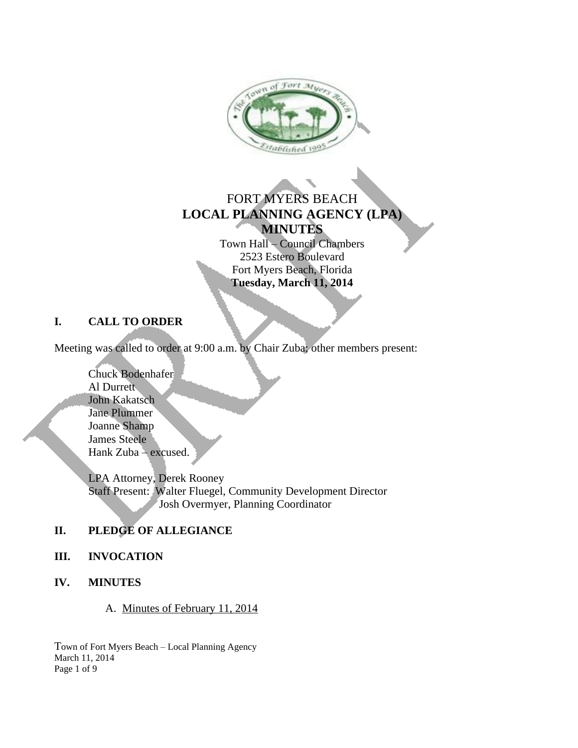

# FORT MYERS BEACH **LOCAL PLANNING AGENCY (LPA) MINUTES**

Town Hall – Council Chambers 2523 Estero Boulevard Fort Myers Beach, Florida **Tuesday, March 11, 2014**

#### **I. CALL TO ORDER**

Meeting was called to order at 9:00 a.m. by Chair Zuba; other members present:

Chuck Bodenhafer Al Durrett John Kakatsch Jane Plummer Joanne Shamp James Steele Hank Zuba – excused.

LPA Attorney, Derek Rooney Staff Present: Walter Fluegel, Community Development Director Josh Overmyer, Planning Coordinator

## **II. PLEDGE OF ALLEGIANCE**

#### **III. INVOCATION**

**IV. MINUTES**

A. Minutes of February 11, 2014

Town of Fort Myers Beach – Local Planning Agency March 11, 2014 Page 1 of 9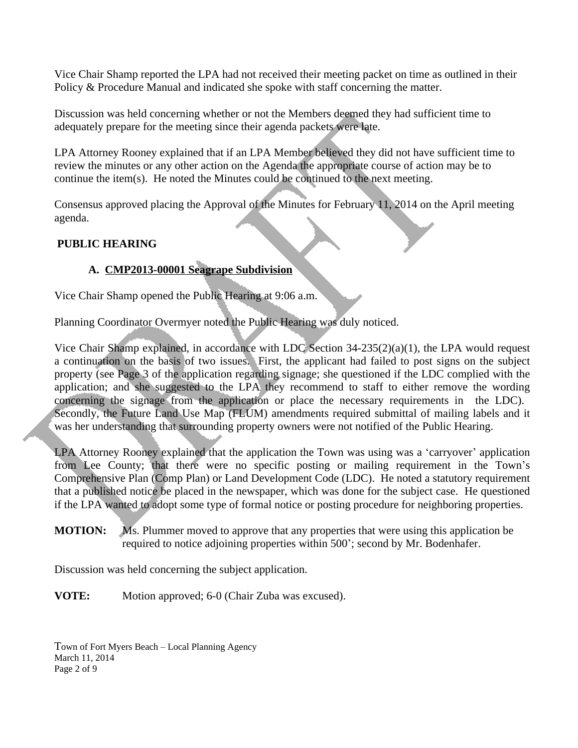Vice Chair Shamp reported the LPA had not received their meeting packet on time as outlined in their Policy & Procedure Manual and indicated she spoke with staff concerning the matter.

Discussion was held concerning whether or not the Members deemed they had sufficient time to adequately prepare for the meeting since their agenda packets were late.

LPA Attorney Rooney explained that if an LPA Member believed they did not have sufficient time to review the minutes or any other action on the Agenda the appropriate course of action may be to continue the item(s). He noted the Minutes could be continued to the next meeting.

Consensus approved placing the Approval of the Minutes for February 11, 2014 on the April meeting agenda.

#### **PUBLIC HEARING**

#### **A. CMP2013-00001 Seagrape Subdivision**

Vice Chair Shamp opened the Public Hearing at 9:06 a.m.

Planning Coordinator Overmyer noted the Public Hearing was duly noticed.

Vice Chair Shamp explained, in accordance with LDC Section 34-235(2)(a)(1), the LPA would request a continuation on the basis of two issues. First, the applicant had failed to post signs on the subject property (see Page 3 of the application regarding signage; she questioned if the LDC complied with the application; and she suggested to the LPA they recommend to staff to either remove the wording concerning the signage from the application or place the necessary requirements in the LDC). Secondly, the Future Land Use Map (FLUM) amendments required submittal of mailing labels and it was her understanding that surrounding property owners were not notified of the Public Hearing.

LPA Attorney Rooney explained that the application the Town was using was a 'carryover' application from Lee County; that there were no specific posting or mailing requirement in the Town's Comprehensive Plan (Comp Plan) or Land Development Code (LDC). He noted a statutory requirement that a published notice be placed in the newspaper, which was done for the subject case. He questioned if the LPA wanted to adopt some type of formal notice or posting procedure for neighboring properties.

**MOTION:** Ms. Plummer moved to approve that any properties that were using this application be required to notice adjoining properties within 500'; second by Mr. Bodenhafer.

Discussion was held concerning the subject application.

**VOTE:** Motion approved; 6-0 (Chair Zuba was excused).

Town of Fort Myers Beach – Local Planning Agency March 11, 2014 Page 2 of 9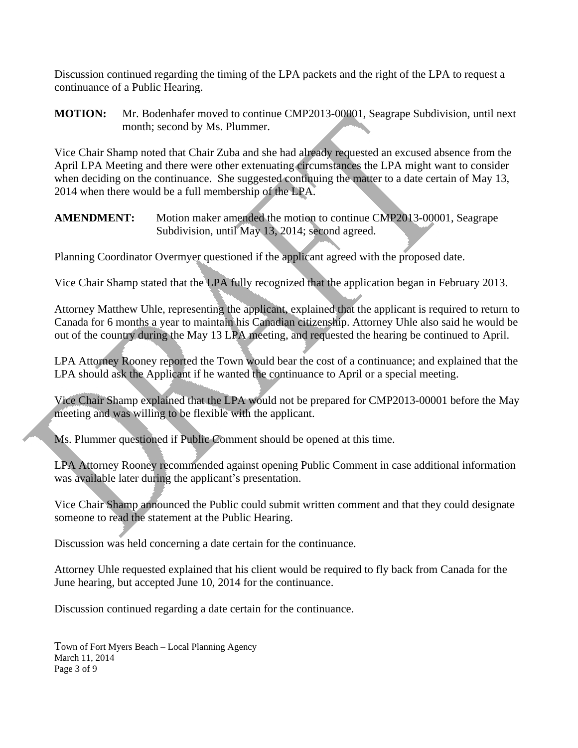Discussion continued regarding the timing of the LPA packets and the right of the LPA to request a continuance of a Public Hearing.

**MOTION:** Mr. Bodenhafer moved to continue CMP2013-00001, Seagrape Subdivision, until next month; second by Ms. Plummer.

Vice Chair Shamp noted that Chair Zuba and she had already requested an excused absence from the April LPA Meeting and there were other extenuating circumstances the LPA might want to consider when deciding on the continuance. She suggested continuing the matter to a date certain of May 13, 2014 when there would be a full membership of the LPA.

**AMENDMENT:** Motion maker amended the motion to continue CMP2013-00001, Seagrape Subdivision, until May 13, 2014; second agreed.

Planning Coordinator Overmyer questioned if the applicant agreed with the proposed date.

Vice Chair Shamp stated that the LPA fully recognized that the application began in February 2013.

Attorney Matthew Uhle, representing the applicant, explained that the applicant is required to return to Canada for 6 months a year to maintain his Canadian citizenship. Attorney Uhle also said he would be out of the country during the May 13 LPA meeting, and requested the hearing be continued to April.

LPA Attorney Rooney reported the Town would bear the cost of a continuance; and explained that the LPA should ask the Applicant if he wanted the continuance to April or a special meeting.

Vice Chair Shamp explained that the LPA would not be prepared for CMP2013-00001 before the May meeting and was willing to be flexible with the applicant.

Ms. Plummer questioned if Public Comment should be opened at this time.

LPA Attorney Rooney recommended against opening Public Comment in case additional information was available later during the applicant's presentation.

Vice Chair Shamp announced the Public could submit written comment and that they could designate someone to read the statement at the Public Hearing.

Discussion was held concerning a date certain for the continuance.

Attorney Uhle requested explained that his client would be required to fly back from Canada for the June hearing, but accepted June 10, 2014 for the continuance.

Discussion continued regarding a date certain for the continuance.

Town of Fort Myers Beach – Local Planning Agency March 11, 2014 Page 3 of 9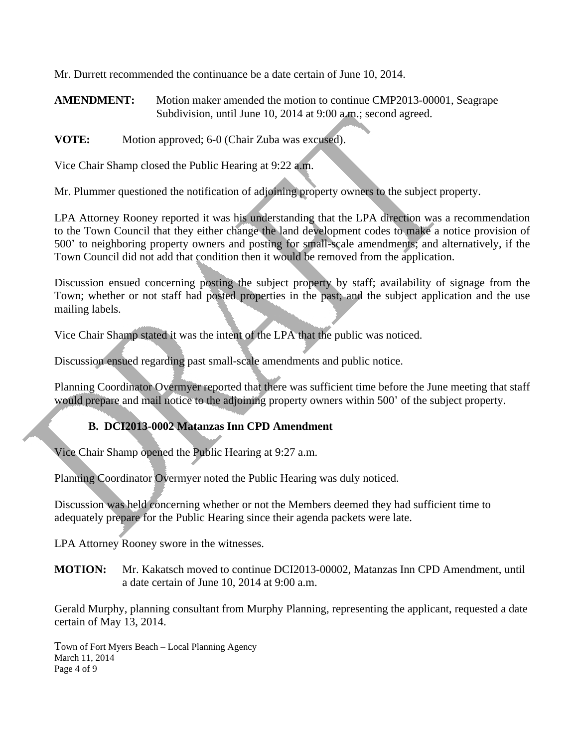Mr. Durrett recommended the continuance be a date certain of June 10, 2014.

**AMENDMENT:** Motion maker amended the motion to continue CMP2013-00001, Seagrape Subdivision, until June 10, 2014 at 9:00 a.m.; second agreed.

**VOTE:** Motion approved; 6-0 (Chair Zuba was excused).

Vice Chair Shamp closed the Public Hearing at 9:22 a.m.

Mr. Plummer questioned the notification of adjoining property owners to the subject property.

LPA Attorney Rooney reported it was his understanding that the LPA direction was a recommendation to the Town Council that they either change the land development codes to make a notice provision of 500' to neighboring property owners and posting for small-scale amendments; and alternatively, if the Town Council did not add that condition then it would be removed from the application.

Discussion ensued concerning posting the subject property by staff; availability of signage from the Town; whether or not staff had posted properties in the past; and the subject application and the use mailing labels.

Vice Chair Shamp stated it was the intent of the LPA that the public was noticed.

Discussion ensued regarding past small-scale amendments and public notice.

Planning Coordinator Overmyer reported that there was sufficient time before the June meeting that staff would prepare and mail notice to the adjoining property owners within 500' of the subject property.

#### **B. DCI2013-0002 Matanzas Inn CPD Amendment**

Vice Chair Shamp opened the Public Hearing at 9:27 a.m.

Planning Coordinator Overmyer noted the Public Hearing was duly noticed.

Discussion was held concerning whether or not the Members deemed they had sufficient time to adequately prepare for the Public Hearing since their agenda packets were late.

LPA Attorney Rooney swore in the witnesses.

**MOTION:** Mr. Kakatsch moved to continue DCI2013-00002, Matanzas Inn CPD Amendment, until a date certain of June 10, 2014 at 9:00 a.m.

Gerald Murphy, planning consultant from Murphy Planning, representing the applicant, requested a date certain of May 13, 2014.

Town of Fort Myers Beach – Local Planning Agency March 11, 2014 Page 4 of 9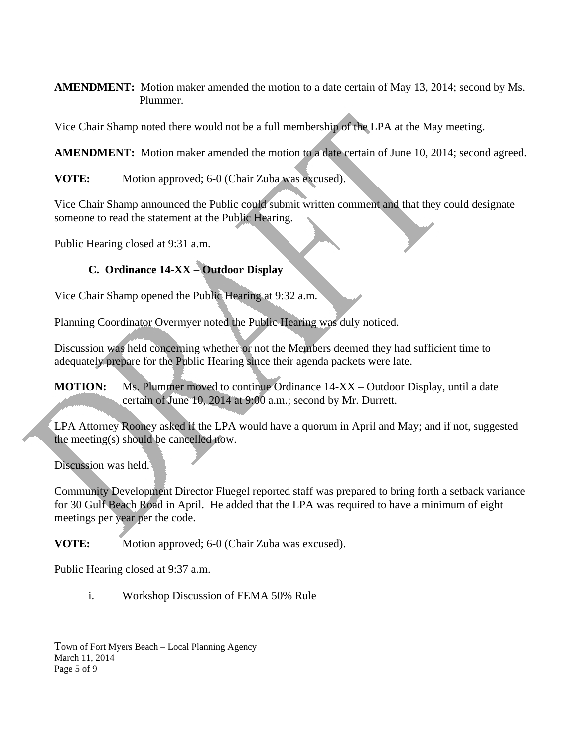**AMENDMENT:** Motion maker amended the motion to a date certain of May 13, 2014; second by Ms. Plummer.

Vice Chair Shamp noted there would not be a full membership of the LPA at the May meeting.

**AMENDMENT:** Motion maker amended the motion to a date certain of June 10, 2014; second agreed.

**VOTE:** Motion approved; 6-0 (Chair Zuba was excused).

Vice Chair Shamp announced the Public could submit written comment and that they could designate someone to read the statement at the Public Hearing.

Public Hearing closed at 9:31 a.m.

# **C. Ordinance 14-XX – Outdoor Display**

Vice Chair Shamp opened the Public Hearing at 9:32 a.m.

Planning Coordinator Overmyer noted the Public Hearing was duly noticed.

Discussion was held concerning whether or not the Members deemed they had sufficient time to adequately prepare for the Public Hearing since their agenda packets were late.

**MOTION:** Ms. Plummer moved to continue Ordinance 14-XX – Outdoor Display, until a date certain of June 10, 2014 at 9:00 a.m.; second by Mr. Durrett.

LPA Attorney Rooney asked if the LPA would have a quorum in April and May; and if not, suggested the meeting(s) should be cancelled now.

Discussion was held.

Community Development Director Fluegel reported staff was prepared to bring forth a setback variance for 30 Gulf Beach Road in April. He added that the LPA was required to have a minimum of eight meetings per year per the code.

**VOTE:** Motion approved; 6-0 (Chair Zuba was excused).

Public Hearing closed at 9:37 a.m.

i. Workshop Discussion of FEMA 50% Rule

Town of Fort Myers Beach – Local Planning Agency March 11, 2014 Page 5 of 9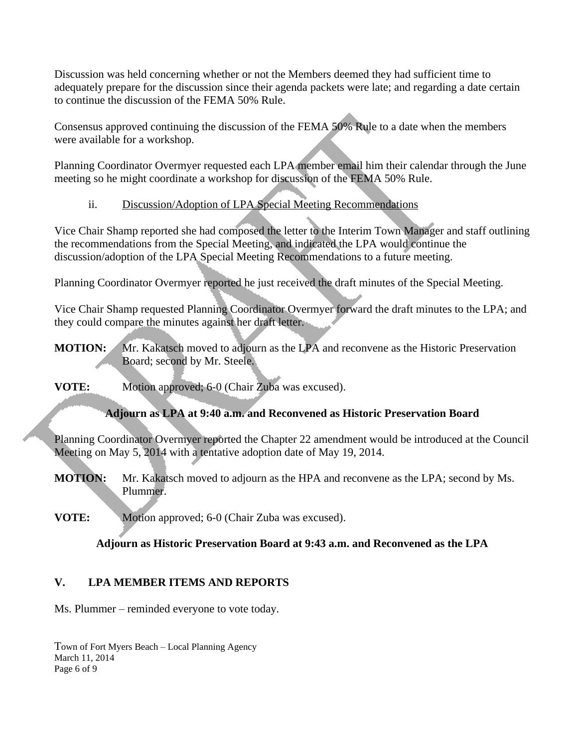Discussion was held concerning whether or not the Members deemed they had sufficient time to adequately prepare for the discussion since their agenda packets were late; and regarding a date certain to continue the discussion of the FEMA 50% Rule.

Consensus approved continuing the discussion of the FEMA 50% Rule to a date when the members were available for a workshop.

Planning Coordinator Overmyer requested each LPA member email him their calendar through the June meeting so he might coordinate a workshop for discussion of the FEMA 50% Rule.

ii. Discussion/Adoption of LPA Special Meeting Recommendations

Vice Chair Shamp reported she had composed the letter to the Interim Town Manager and staff outlining the recommendations from the Special Meeting, and indicated the LPA would continue the discussion/adoption of the LPA Special Meeting Recommendations to a future meeting.

Planning Coordinator Overmyer reported he just received the draft minutes of the Special Meeting.

Vice Chair Shamp requested Planning Coordinator Overmyer forward the draft minutes to the LPA; and they could compare the minutes against her draft letter.

- **MOTION:** Mr. Kakatsch moved to adjourn as the LPA and reconvene as the Historic Preservation Board; second by Mr. Steele.
- **VOTE:** Motion approved; 6-0 (Chair Zuba was excused).

## **Adjourn as LPA at 9:40 a.m. and Reconvened as Historic Preservation Board**

Planning Coordinator Overmyer reported the Chapter 22 amendment would be introduced at the Council Meeting on May 5, 2014 with a tentative adoption date of May 19, 2014.

**MOTION:** Mr. Kakatsch moved to adjourn as the HPA and reconvene as the LPA; second by Ms. Plummer.

**VOTE:** Motion approved; 6-0 (Chair Zuba was excused).

## **Adjourn as Historic Preservation Board at 9:43 a.m. and Reconvened as the LPA**

## **V. LPA MEMBER ITEMS AND REPORTS**

Ms. Plummer – reminded everyone to vote today.

Town of Fort Myers Beach – Local Planning Agency March 11, 2014 Page 6 of 9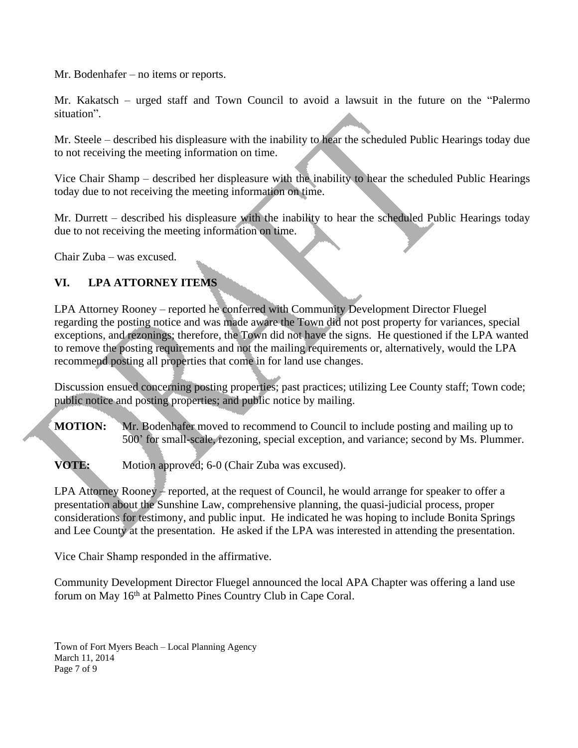Mr. Bodenhafer – no items or reports.

Mr. Kakatsch – urged staff and Town Council to avoid a lawsuit in the future on the "Palermo situation".

Mr. Steele – described his displeasure with the inability to hear the scheduled Public Hearings today due to not receiving the meeting information on time.

Vice Chair Shamp – described her displeasure with the inability to hear the scheduled Public Hearings today due to not receiving the meeting information on time.

Mr. Durrett – described his displeasure with the inability to hear the scheduled Public Hearings today due to not receiving the meeting information on time.

Chair Zuba – was excused.

#### **VI. LPA ATTORNEY ITEMS**

LPA Attorney Rooney – reported he conferred with Community Development Director Fluegel regarding the posting notice and was made aware the Town did not post property for variances, special exceptions, and rezonings; therefore, the Town did not have the signs. He questioned if the LPA wanted to remove the posting requirements and not the mailing requirements or, alternatively, would the LPA recommend posting all properties that come in for land use changes.

Discussion ensued concerning posting properties; past practices; utilizing Lee County staff; Town code; public notice and posting properties; and public notice by mailing.

**MOTION:** Mr. Bodenhafer moved to recommend to Council to include posting and mailing up to 500' for small-scale, rezoning, special exception, and variance; second by Ms. Plummer.

**VOTE:** Motion approved; 6-0 (Chair Zuba was excused).

LPA Attorney Rooney – reported, at the request of Council, he would arrange for speaker to offer a presentation about the Sunshine Law, comprehensive planning, the quasi-judicial process, proper considerations for testimony, and public input. He indicated he was hoping to include Bonita Springs and Lee County at the presentation. He asked if the LPA was interested in attending the presentation.

Vice Chair Shamp responded in the affirmative.

Community Development Director Fluegel announced the local APA Chapter was offering a land use forum on May 16<sup>th</sup> at Palmetto Pines Country Club in Cape Coral.

Town of Fort Myers Beach – Local Planning Agency March 11, 2014 Page 7 of 9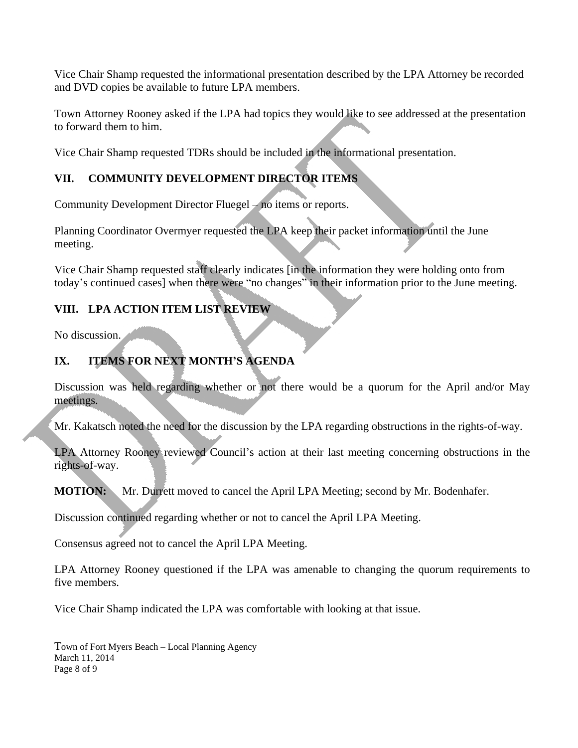Vice Chair Shamp requested the informational presentation described by the LPA Attorney be recorded and DVD copies be available to future LPA members.

Town Attorney Rooney asked if the LPA had topics they would like to see addressed at the presentation to forward them to him.

Vice Chair Shamp requested TDRs should be included in the informational presentation.

## **VII. COMMUNITY DEVELOPMENT DIRECTOR ITEMS**

Community Development Director Fluegel – no items or reports.

Planning Coordinator Overmyer requested the LPA keep their packet information until the June meeting.

Vice Chair Shamp requested staff clearly indicates [in the information they were holding onto from today's continued cases] when there were "no changes" in their information prior to the June meeting.

## **VIII. LPA ACTION ITEM LIST REVIEW**

No discussion.

# **IX. ITEMS FOR NEXT MONTH'S AGENDA**

Discussion was held regarding whether or not there would be a quorum for the April and/or May meetings.

Mr. Kakatsch noted the need for the discussion by the LPA regarding obstructions in the rights-of-way.

LPA Attorney Rooney reviewed Council's action at their last meeting concerning obstructions in the rights-of-way.

**MOTION:** Mr. Durrett moved to cancel the April LPA Meeting; second by Mr. Bodenhafer.

Discussion continued regarding whether or not to cancel the April LPA Meeting.

Consensus agreed not to cancel the April LPA Meeting.

LPA Attorney Rooney questioned if the LPA was amenable to changing the quorum requirements to five members.

Vice Chair Shamp indicated the LPA was comfortable with looking at that issue.

Town of Fort Myers Beach – Local Planning Agency March 11, 2014 Page 8 of 9